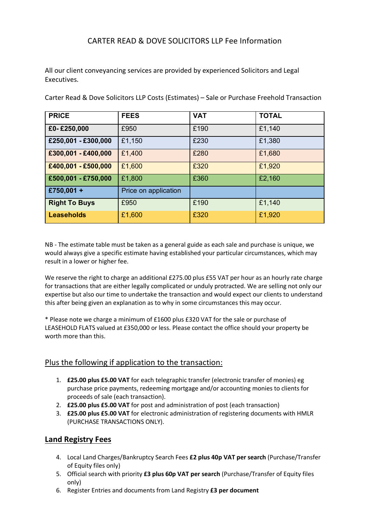# CARTER READ & DOVE SOLICITORS LLP Fee Information

All our client conveyancing services are provided by experienced Solicitors and Legal Executives.

| <b>PRICE</b>         | <b>FEES</b>          | <b>VAT</b> | <b>TOTAL</b> |
|----------------------|----------------------|------------|--------------|
| £0-£250,000          | £950                 | £190       | £1,140       |
| £250,001 - £300,000  | £1,150               | £230       | £1,380       |
| £300,001 - £400,000  | £1,400               | £280       | £1,680       |
| £400,001 - £500,000  | £1,600               | £320       | £1,920       |
| £500,001 - £750,000  | £1,800               | £360       | £2,160       |
| £750,001 +           | Price on application |            |              |
| <b>Right To Buys</b> | £950                 | £190       | £1,140       |
| <b>Leaseholds</b>    | £1,600               | £320       | £1,920       |

Carter Read & Dove Solicitors LLP Costs (Estimates) – Sale or Purchase Freehold Transaction

NB - The estimate table must be taken as a general guide as each sale and purchase is unique, we would always give a specific estimate having established your particular circumstances, which may result in a lower or higher fee.

We reserve the right to charge an additional £275.00 plus £55 VAT per hour as an hourly rate charge for transactions that are either legally complicated or unduly protracted. We are selling not only our expertise but also our time to undertake the transaction and would expect our clients to understand this after being given an explanation as to why in some circumstances this may occur.

\* Please note we charge a minimum of £1600 plus £320 VAT for the sale or purchase of LEASEHOLD FLATS valued at £350,000 or less. Please contact the office should your property be worth more than this.

### Plus the following if application to the transaction:

- 1. **£25.00 plus £5.00 VAT** for each telegraphic transfer (electronic transfer of monies) eg purchase price payments, redeeming mortgage and/or accounting monies to clients for proceeds of sale (each transaction).
- 2. **£25.00 plus £5.00 VAT** for post and administration of post (each transaction)
- 3. **£25.00 plus £5.00 VAT** for electronic administration of registering documents with HMLR (PURCHASE TRANSACTIONS ONLY).

### **Land Registry Fees**

- 4. Local Land Charges/Bankruptcy Search Fees **£2 plus 40p VAT per search** (Purchase/Transfer of Equity files only)
- 5. Official search with priority **£3 plus 60p VAT per search** (Purchase/Transfer of Equity files only)
- 6. Register Entries and documents from Land Registry **£3 per document**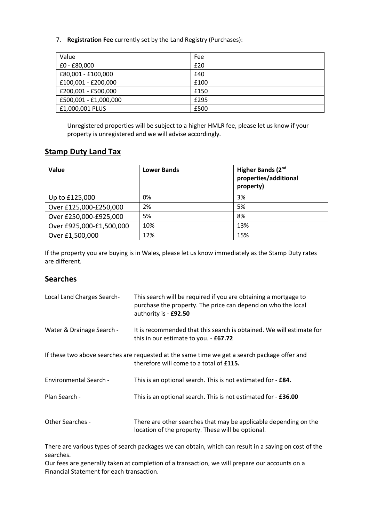7. **Registration Fee** currently set by the Land Registry (Purchases):

| Value                 | Fee  |
|-----------------------|------|
| £0 - £80,000          | £20  |
| £80,001 - £100,000    | £40  |
| £100,001 - £200,000   | £100 |
| £200,001 - £500,000   | £150 |
| £500,001 - £1,000,000 | £295 |
| £1,000,001 PLUS       | £500 |

Unregistered properties will be subject to a higher HMLR fee, please let us know if your property is unregistered and we will advise accordingly.

## **Stamp Duty Land Tax**

| Value                    | <b>Lower Bands</b> | Higher Bands (2nd<br>properties/additional<br>property) |
|--------------------------|--------------------|---------------------------------------------------------|
| Up to £125,000           | 0%                 | 3%                                                      |
| Over £125,000-£250,000   | 2%                 | 5%                                                      |
| Over £250,000-£925,000   | 5%                 | 8%                                                      |
| Over £925,000-£1,500,000 | 10%                | 13%                                                     |
| Over £1,500,000          | 12%                | 15%                                                     |

If the property you are buying is in Wales, please let us know immediately as the Stamp Duty rates are different.

### **Searches**

| Local Land Charges Search- | This search will be required if you are obtaining a mortgage to<br>purchase the property. The price can depend on who the local<br>authority is - £92.50 |
|----------------------------|----------------------------------------------------------------------------------------------------------------------------------------------------------|
| Water & Drainage Search -  | It is recommended that this search is obtained. We will estimate for<br>this in our estimate to you. - £67.72                                            |
|                            | If these two above searches are requested at the same time we get a search package offer and<br>therefore will come to a total of £115.                  |
| Environmental Search -     | This is an optional search. This is not estimated for - £84.                                                                                             |
| Plan Search -              | This is an optional search. This is not estimated for - £36.00                                                                                           |
| <b>Other Searches -</b>    | There are other searches that may be applicable depending on the<br>location of the property. These will be optional.                                    |

There are various types of search packages we can obtain, which can result in a saving on cost of the searches.

Our fees are generally taken at completion of a transaction, we will prepare our accounts on a Financial Statement for each transaction.